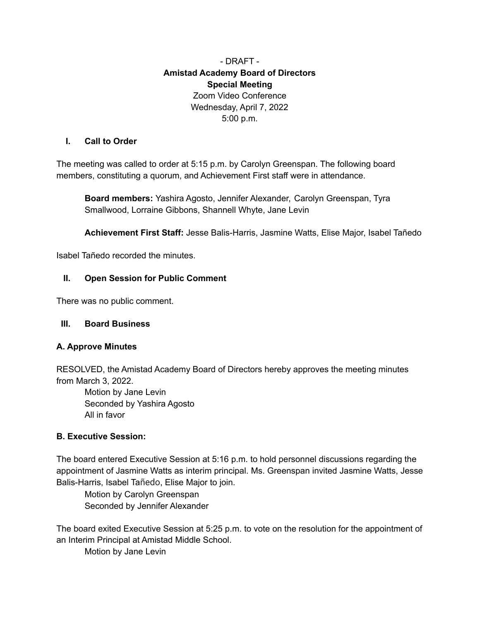# - DRAFT - **Amistad Academy Board of Directors Special Meeting** Zoom Video Conference Wednesday, April 7, 2022 5:00 p.m.

#### **I. Call to Order**

The meeting was called to order at 5:15 p.m. by Carolyn Greenspan. The following board members, constituting a quorum, and Achievement First staff were in attendance.

**Board members:** Yashira Agosto, Jennifer Alexander, Carolyn Greenspan, Tyra Smallwood, Lorraine Gibbons, Shannell Whyte, Jane Levin

**Achievement First Staff:** Jesse Balis-Harris, Jasmine Watts, Elise Major, Isabel Tañedo

Isabel Tañedo recorded the minutes.

## **II. Open Session for Public Comment**

There was no public comment.

#### **III. Board Business**

#### **A. Approve Minutes**

RESOLVED, the Amistad Academy Board of Directors hereby approves the meeting minutes from March 3, 2022.

Motion by Jane Levin Seconded by Yashira Agosto All in favor

#### **B. Executive Session:**

The board entered Executive Session at 5:16 p.m. to hold personnel discussions regarding the appointment of Jasmine Watts as interim principal. Ms. Greenspan invited Jasmine Watts, Jesse Balis-Harris, Isabel Tañedo, Elise Major to join.

Motion by Carolyn Greenspan Seconded by Jennifer Alexander

The board exited Executive Session at 5:25 p.m. to vote on the resolution for the appointment of an Interim Principal at Amistad Middle School.

Motion by Jane Levin